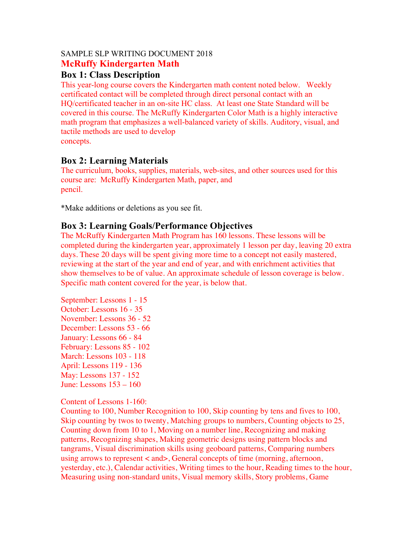#### SAMPLE SLP WRITING DOCUMENT 2018 **McRuffy Kindergarten Math**

#### **Box 1: Class Description**

This year-long course covers the Kindergarten math content noted below. Weekly certificated contact will be completed through direct personal contact with an HQ/certificated teacher in an on-site HC class. At least one State Standard will be covered in this course. The McRuffy Kindergarten Color Math is a highly interactive math program that emphasizes a well-balanced variety of skills. Auditory, visual, and tactile methods are used to develop concepts.

# **Box 2: Learning Materials**

The curriculum, books, supplies, materials, web-sites, and other sources used for this course are: McRuffy Kindergarten Math, paper, and pencil.

\*Make additions or deletions as you see fit.

#### **Box 3: Learning Goals/Performance Objectives**

The McRuffy Kindergarten Math Program has 160 lessons. These lessons will be completed during the kindergarten year, approximately 1 lesson per day, leaving 20 extra days. These 20 days will be spent giving more time to a concept not easily mastered, reviewing at the start of the year and end of year, and with enrichment activities that show themselves to be of value. An approximate schedule of lesson coverage is below. Specific math content covered for the year, is below that.

September: Lessons 1 - 15 October: Lessons 16 - 35 November: Lessons 36 - 52 December: Lessons 53 - 66 January: Lessons 66 - 84 February: Lessons 85 - 102 March: Lessons 103 - 118 April: Lessons 119 - 136 May: Lessons 137 - 152 June: Lessons 153 – 160

Content of Lessons 1-160:

Counting to 100, Number Recognition to 100, Skip counting by tens and fives to 100, Skip counting by twos to twenty, Matching groups to numbers, Counting objects to 25, Counting down from 10 to 1, Moving on a number line, Recognizing and making patterns, Recognizing shapes, Making geometric designs using pattern blocks and tangrams, Visual discrimination skills using geoboard patterns, Comparing numbers using arrows to represent < and>, General concepts of time (morning, afternoon, yesterday, etc.), Calendar activities, Writing times to the hour, Reading times to the hour, Measuring using non-standard units, Visual memory skills, Story problems, Game